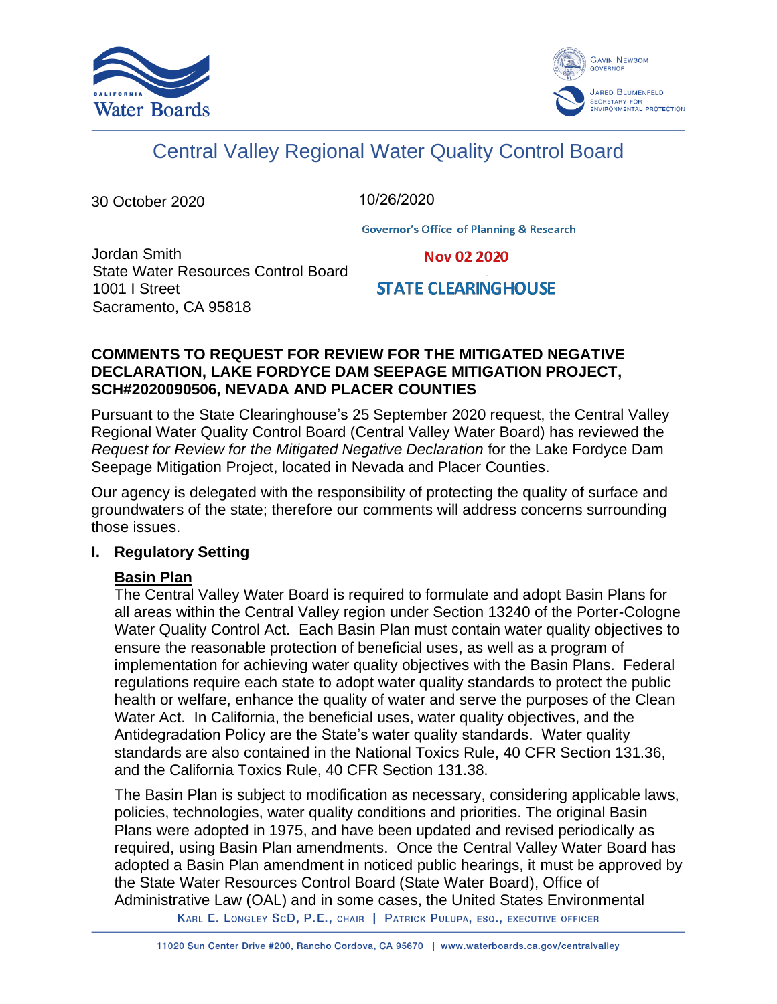



# Central Valley Regional Water Quality Control Board

30 October 2020

10/26/2020

**Governor's Office of Planning & Research** 

Jordan Smith State Water Resources Control Board 1001 I Street Sacramento, CA 95818

**Nov 02 2020** 

**STATE CLEARING HOUSE** 

## **COMMENTS TO REQUEST FOR REVIEW FOR THE MITIGATED NEGATIVE DECLARATION, LAKE FORDYCE DAM SEEPAGE MITIGATION PROJECT, SCH#2020090506, NEVADA AND PLACER COUNTIES**

Pursuant to the State Clearinghouse's 25 September 2020 request, the Central Valley Regional Water Quality Control Board (Central Valley Water Board) has reviewed the *Request for Review for the Mitigated Negative Declaration* for the Lake Fordyce Dam Seepage Mitigation Project, located in Nevada and Placer Counties.

Our agency is delegated with the responsibility of protecting the quality of surface and groundwaters of the state; therefore our comments will address concerns surrounding those issues.

# **I. Regulatory Setting**

# **Basin Plan**

The Central Valley Water Board is required to formulate and adopt Basin Plans for all areas within the Central Valley region under Section 13240 of the Porter-Cologne Water Quality Control Act. Each Basin Plan must contain water quality objectives to ensure the reasonable protection of beneficial uses, as well as a program of implementation for achieving water quality objectives with the Basin Plans. Federal regulations require each state to adopt water quality standards to protect the public health or welfare, enhance the quality of water and serve the purposes of the Clean Water Act. In California, the beneficial uses, water quality objectives, and the Antidegradation Policy are the State's water quality standards. Water quality standards are also contained in the National Toxics Rule, 40 CFR Section 131.36, and the California Toxics Rule, 40 CFR Section 131.38.

The Basin Plan is subject to modification as necessary, considering applicable laws, policies, technologies, water quality conditions and priorities. The original Basin Plans were adopted in 1975, and have been updated and revised periodically as required, using Basin Plan amendments. Once the Central Valley Water Board has adopted a Basin Plan amendment in noticed public hearings, it must be approved by the State Water Resources Control Board (State Water Board), Office of Administrative Law (OAL) and in some cases, the United States Environmental

KARL E. LONGLEY SCD, P.E., CHAIR | PATRICK PULUPA, ESQ., EXECUTIVE OFFICER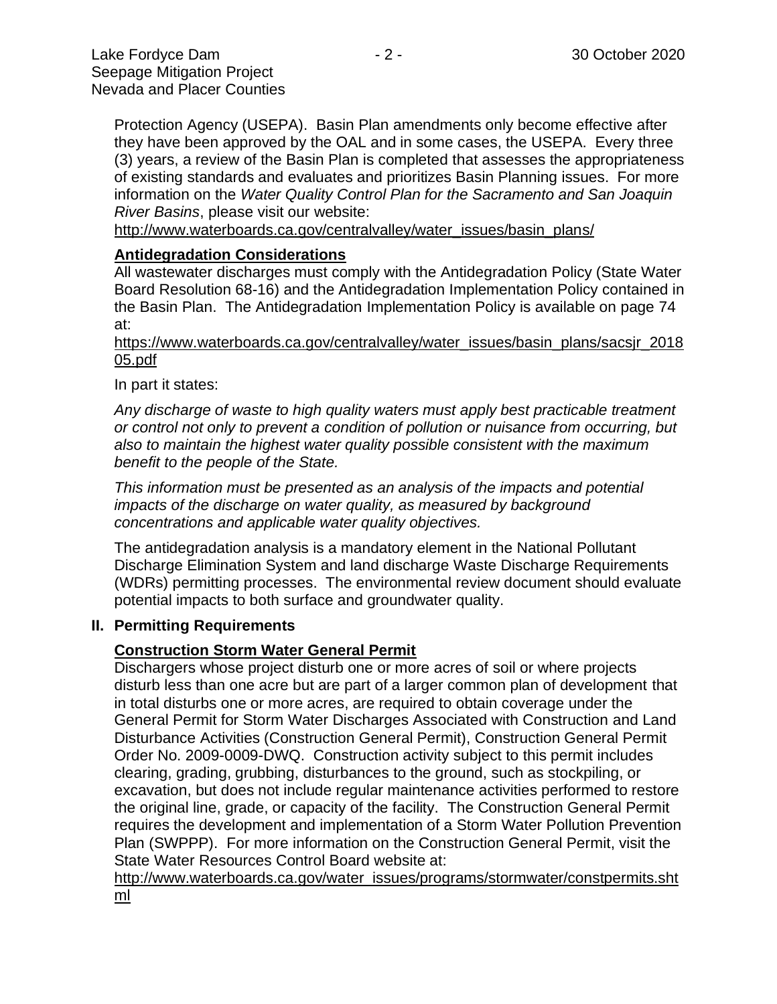they have been approved by the OAL and in some cases, the USEPA. Every three (3) years, a review of the Basin Plan is completed that assesses the appropriateness of existing standards and evaluates and prioritizes Basin Planning issues. For more information on the *Water Quality Control Plan for the Sacramento and San Joaquin River Basins*, please visit our website:

[http://www.waterboards.ca.gov/centralvalley/water\\_issues/basin\\_plans/](http://www.waterboards.ca.gov/centralvalley/water_issues/basin_plans/)

## **Antidegradation Considerations**

All wastewater discharges must comply with the Antidegradation Policy (State Water Board Resolution 68-16) and the Antidegradation Implementation Policy contained in the Basin Plan. The Antidegradation Implementation Policy is available on page 74 at:

https://www.waterboards.ca.gov/centralvalley/water\_issues/basin\_plans/sacsjr\_2018 05.pdf

In part it states:

*Any discharge of waste to high quality waters must apply best practicable treatment or control not only to prevent a condition of pollution or nuisance from occurring, but also to maintain the highest water quality possible consistent with the maximum benefit to the people of the State.*

*This information must be presented as an analysis of the impacts and potential impacts of the discharge on water quality, as measured by background concentrations and applicable water quality objectives.*

The antidegradation analysis is a mandatory element in the National Pollutant Discharge Elimination System and land discharge Waste Discharge Requirements (WDRs) permitting processes. The environmental review document should evaluate potential impacts to both surface and groundwater quality.

#### **II. Permitting Requirements**

#### **Construction Storm Water General Permit**

Dischargers whose project disturb one or more acres of soil or where projects disturb less than one acre but are part of a larger common plan of development that in total disturbs one or more acres, are required to obtain coverage under the General Permit for Storm Water Discharges Associated with Construction and Land Disturbance Activities (Construction General Permit), Construction General Permit Order No. 2009-0009-DWQ. Construction activity subject to this permit includes clearing, grading, grubbing, disturbances to the ground, such as stockpiling, or excavation, but does not include regular maintenance activities performed to restore the original line, grade, or capacity of the facility. The Construction General Permit requires the development and implementation of a Storm Water Pollution Prevention Plan (SWPPP). For more information on the Construction General Permit, visit the State Water Resources Control Board website at:

[http://www.waterboards.ca.gov/water\\_issues/programs/stormwater/constpermits.sht](http://www.waterboards.ca.gov/water_issues/programs/stormwater/constpermits.shtml) [ml](http://www.waterboards.ca.gov/water_issues/programs/stormwater/constpermits.shtml)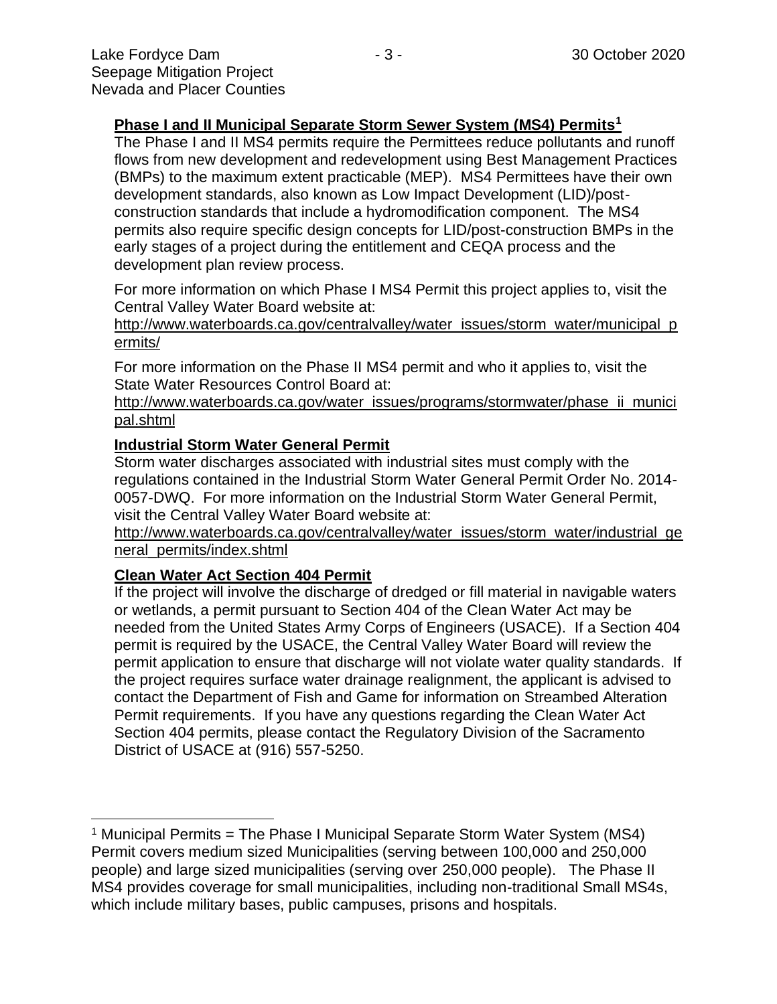## **Phase I and II Municipal Separate Storm Sewer System (MS4) Permits<sup>1</sup>**

The Phase I and II MS4 permits require the Permittees reduce pollutants and runoff flows from new development and redevelopment using Best Management Practices (BMPs) to the maximum extent practicable (MEP). MS4 Permittees have their own development standards, also known as Low Impact Development (LID)/postconstruction standards that include a hydromodification component. The MS4 permits also require specific design concepts for LID/post-construction BMPs in the early stages of a project during the entitlement and CEQA process and the development plan review process.

For more information on which Phase I MS4 Permit this project applies to, visit the Central Valley Water Board website at:

http://www.waterboards.ca.gov/centralvalley/water\_issues/storm\_water/municipal\_p ermits/

For more information on the Phase II MS4 permit and who it applies to, visit the State Water Resources Control Board at:

http://www.waterboards.ca.gov/water\_issues/programs/stormwater/phase\_ii\_munici pal.shtml

## **Industrial Storm Water General Permit**

Storm water discharges associated with industrial sites must comply with the regulations contained in the Industrial Storm Water General Permit Order No. 2014- 0057-DWQ. For more information on the Industrial Storm Water General Permit, visit the Central Valley Water Board website at:

http://www.waterboards.ca.gov/centralvalley/water\_issues/storm\_water/industrial\_ge neral\_permits/index.shtml

#### **Clean Water Act Section 404 Permit**

If the project will involve the discharge of dredged or fill material in navigable waters or wetlands, a permit pursuant to Section 404 of the Clean Water Act may be needed from the United States Army Corps of Engineers (USACE). If a Section 404 permit is required by the USACE, the Central Valley Water Board will review the permit application to ensure that discharge will not violate water quality standards. If the project requires surface water drainage realignment, the applicant is advised to contact the Department of Fish and Game for information on Streambed Alteration Permit requirements. If you have any questions regarding the Clean Water Act Section 404 permits, please contact the Regulatory Division of the Sacramento District of USACE at (916) 557-5250.

<sup>&</sup>lt;sup>1</sup> Municipal Permits = The Phase I Municipal Separate Storm Water System (MS4) Permit covers medium sized Municipalities (serving between 100,000 and 250,000 people) and large sized municipalities (serving over 250,000 people). The Phase II MS4 provides coverage for small municipalities, including non-traditional Small MS4s, which include military bases, public campuses, prisons and hospitals.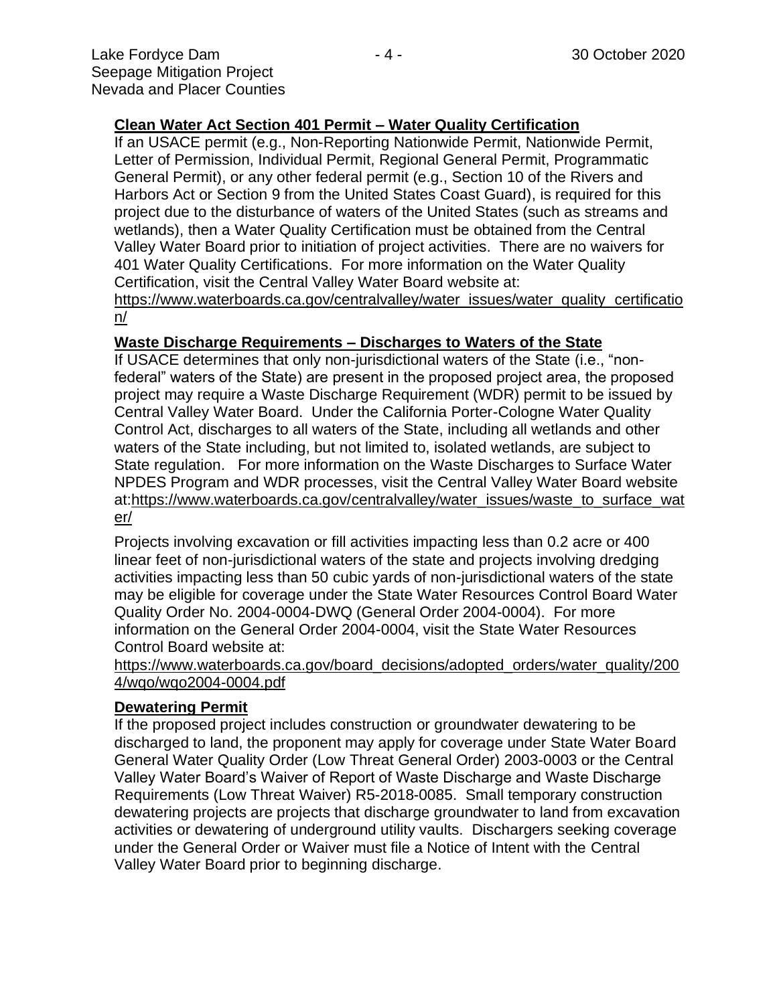# **Clean Water Act Section 401 Permit – Water Quality Certification**

If an USACE permit (e.g., Non-Reporting Nationwide Permit, Nationwide Permit, Letter of Permission, Individual Permit, Regional General Permit, Programmatic General Permit), or any other federal permit (e.g., Section 10 of the Rivers and Harbors Act or Section 9 from the United States Coast Guard), is required for this project due to the disturbance of waters of the United States (such as streams and wetlands), then a Water Quality Certification must be obtained from the Central Valley Water Board prior to initiation of project activities. There are no waivers for 401 Water Quality Certifications. For more information on the Water Quality Certification, visit the Central Valley Water Board website at:

https://www.waterboards.ca.gov/centralvalley/water\_issues/water\_quality\_certificatio n/

#### **Waste Discharge Requirements – Discharges to Waters of the State**

If USACE determines that only non-jurisdictional waters of the State (i.e., "nonfederal" waters of the State) are present in the proposed project area, the proposed project may require a Waste Discharge Requirement (WDR) permit to be issued by Central Valley Water Board. Under the California Porter-Cologne Water Quality Control Act, discharges to all waters of the State, including all wetlands and other waters of the State including, but not limited to, isolated wetlands, are subject to State regulation. For more information on the Waste Discharges to Surface Water NPDES Program and WDR processes, visit the Central Valley Water Board website at:https://www.waterboards.ca.gov/centralvalley/water\_issues/waste\_to\_surface\_wat er/

Projects involving excavation or fill activities impacting less than 0.2 acre or 400 linear feet of non-jurisdictional waters of the state and projects involving dredging activities impacting less than 50 cubic yards of non-jurisdictional waters of the state may be eligible for coverage under the State Water Resources Control Board Water Quality Order No. 2004-0004-DWQ (General Order 2004-0004). For more information on the General Order 2004-0004, visit the State Water Resources Control Board website at:

https://www.waterboards.ca.gov/board\_decisions/adopted\_orders/water\_quality/200 4/wqo/wqo2004-0004.pdf

### **Dewatering Permit**

If the proposed project includes construction or groundwater dewatering to be discharged to land, the proponent may apply for coverage under State Water Board General Water Quality Order (Low Threat General Order) 2003-0003 or the Central Valley Water Board's Waiver of Report of Waste Discharge and Waste Discharge Requirements (Low Threat Waiver) R5-2018-0085. Small temporary construction dewatering projects are projects that discharge groundwater to land from excavation activities or dewatering of underground utility vaults. Dischargers seeking coverage under the General Order or Waiver must file a Notice of Intent with the Central Valley Water Board prior to beginning discharge.